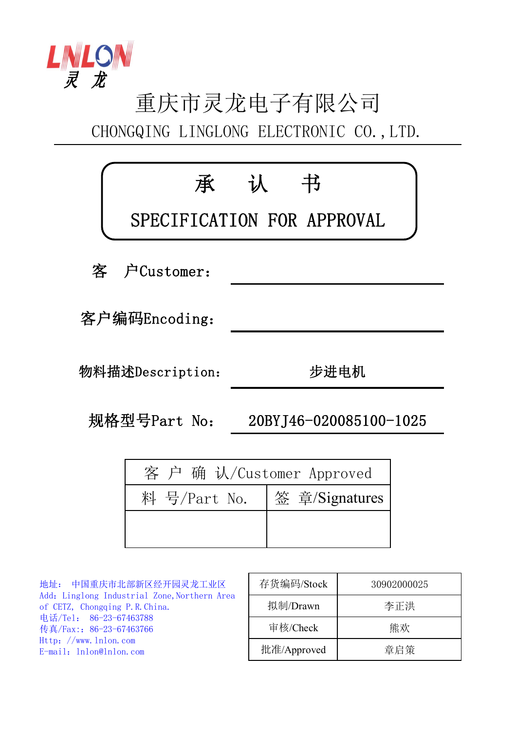

## 重庆市灵龙电子有限公司 CHONGQING LINGLONG ELECTRONIC CO.,LTD.

| 承                | 认<br>书<br>SPECIFICATION FOR APPROVAL |
|------------------|--------------------------------------|
| 客 户Customer:     |                                      |
| 客户编码Encoding:    |                                      |
| 物料描述Description: | 步进电机                                 |
| 规格型号Part No:     | 20BYJ46-020085100-1025               |
|                  | 客 户 确 认/Customer Approved            |

| $\mathbf{v}$ |                |  |  |  |
|--------------|----------------|--|--|--|
| 料 号/Part No. | 签 章/Signatures |  |  |  |
|              |                |  |  |  |
|              |                |  |  |  |

地址: 中国重庆市北部新区经开园灵龙工业区 Add: Linglong Industrial Zone, Northern Area of CETZ, Chongqing P.R.China. 电话/Tel: 86-23-67463788 传真/Fax::86-23-67463766 Http://www.lnlon.com E-mail: lnlon@lnlon.com

| 存货编码/Stock  | 30902000025 |
|-------------|-------------|
| 拟制/Drawn    | 李正洪         |
| 审核/Check    | 能欢          |
| 批准/Approved | 章启策         |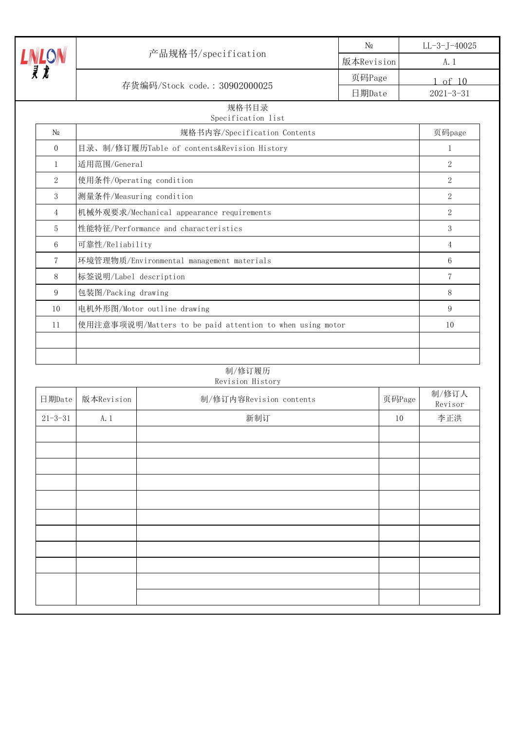|                                                                 |                                             | N <sub>0</sub> | $LL-3-J-40025$              |
|-----------------------------------------------------------------|---------------------------------------------|----------------|-----------------------------|
|                                                                 | 产品规格书/specification                         | 版本Revision     | A. 1                        |
|                                                                 |                                             | 页码Page         | of $10$                     |
|                                                                 | 存货编码/Stock code.: 30902000025               | 日期Date         | $2021 - 3 - 31$             |
|                                                                 | 规格书目录<br>Specification list                 |                |                             |
| N <sub>0</sub>                                                  | 规格书内容/Specification Contents                |                | 页码page                      |
| $\Omega$                                                        | 目录、制/修订履历Table of contents&Revision History |                | $\mathbf{1}$                |
| $\mathbf{1}$                                                    | 适用范围/General                                |                | $\mathcal{D}_{\mathcal{L}}$ |
| $\overline{2}$                                                  | 使用条件/Operating condition                    |                | 2                           |
| 3                                                               | 测量条件/Measuring condition                    |                | 2                           |
| 4                                                               | 机械外观要求/Mechanical appearance requirements   |                | $\overline{2}$              |
| 5                                                               | 性能特征/Performance and characteristics        |                | 3                           |
| 6                                                               | 可靠性/Reliability                             |                | 4                           |
| 7                                                               | 环境管理物质/Environmental management materials   |                | 6                           |
| 8                                                               | 标签说明/Label description                      |                | 7                           |
| 9                                                               | 包装图/Packing drawing                         |                | 8                           |
| 电机外形图/Motor outline drawing<br>10                               |                                             |                | 9                           |
| 使用注意事项说明/Matters to be paid attention to when using motor<br>11 |                                             | 10             |                             |
|                                                                 |                                             |                |                             |
|                                                                 |                                             |                |                             |

## 制/修订履历 Revision History

| 日期Date        | 版本Revision | 制/修订内容Revision contents | 页码Page | 制/修订人<br>Revisor |
|---------------|------------|-------------------------|--------|------------------|
| $21 - 3 - 31$ | A. 1       | 新制订                     | 10     | 李正洪              |
|               |            |                         |        |                  |
|               |            |                         |        |                  |
|               |            |                         |        |                  |
|               |            |                         |        |                  |
|               |            |                         |        |                  |
|               |            |                         |        |                  |
|               |            |                         |        |                  |
|               |            |                         |        |                  |
|               |            |                         |        |                  |
|               |            |                         |        |                  |
|               |            |                         |        |                  |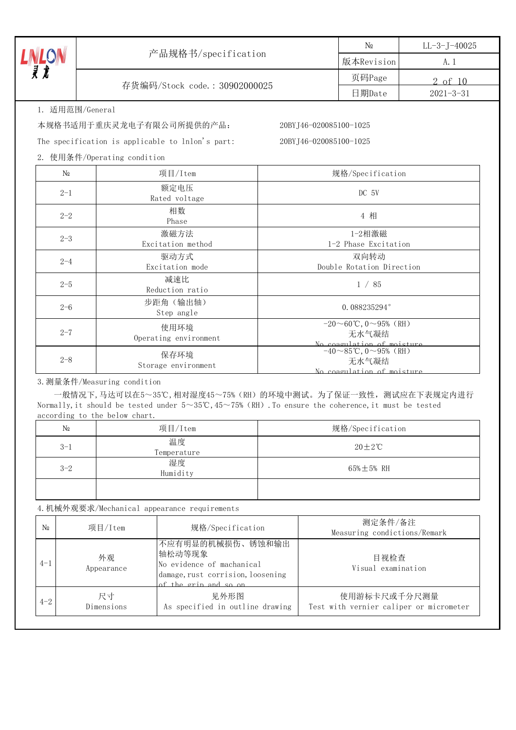|                   | 产品规格书/specification                              |                        | $N_2$                                                                             | $LL-3-J-40025$  |  |
|-------------------|--------------------------------------------------|------------------------|-----------------------------------------------------------------------------------|-----------------|--|
|                   |                                                  |                        | 版本Revision                                                                        | A. 1            |  |
| <b>LON</b><br>R t |                                                  |                        | 页码Page                                                                            | 2 of 10         |  |
|                   | 存货编码/Stock code.: 30902000025                    |                        | 日期Date                                                                            | $2021 - 3 - 31$ |  |
|                   | 1. 适用范围/General                                  |                        |                                                                                   |                 |  |
|                   | 本规格书适用于重庆灵龙电子有限公司所提供的产品:                         | 20BYJ46-020085100-1025 |                                                                                   |                 |  |
|                   | The specification is applicable to lnlon's part: | 20BYJ46-020085100-1025 |                                                                                   |                 |  |
|                   | 2. 使用条件/Operating condition                      |                        |                                                                                   |                 |  |
| $N_{2}$           | 项目/Item                                          |                        | 规格/Specification                                                                  |                 |  |
| $2 - 1$           | 额定电压<br>Rated voltage                            | DC 5V                  |                                                                                   |                 |  |
| $2 - 2$           | 相数<br>Phase                                      |                        | 4 相                                                                               |                 |  |
| $2 - 3$           | 激磁方法<br>Excitation method                        |                        | 1-2相激磁<br>1-2 Phase Excitation                                                    |                 |  |
| $2 - 4$           | 驱动方式<br>Excitation mode                          |                        | 双向转动<br>Double Rotation Direction                                                 |                 |  |
| $2 - 5$           | 减速比<br>Reduction ratio                           |                        | 1 / 85                                                                            |                 |  |
| $2 - 6$           | 步距角 (输出轴)<br>Step angle                          |                        | 0.088235294°                                                                      |                 |  |
| $2 - 7$           | 使用环境<br>Operating environment                    |                        | $-20 \sim 60$ °C, 0∼95% (RH)<br>无水气凝结<br>No coagulation of moisture               |                 |  |
| $2 - 8$           | 保存环境<br>Storage environment                      |                        | $-40 \sim 85^{\circ}$ C, 0 $\sim$ 95% (RH)<br>无水气凝结<br>No coagulation of moisture |                 |  |

3.测量条件/Measuring condition

一般情况下,马达可以在5~35℃,相对湿度45~75%(RH)的环境中测试。为了保证一致性,测试应在下表规定内进行 Normally, it should be tested under 5~35℃,45~75% (RH). To ensure the coherence, it must be tested according to the below chart.

| N₫      | 项目/Item           | 规格/Specification     |
|---------|-------------------|----------------------|
| $3 - 1$ | 温度<br>Temperature | $20 \pm 2^{\circ}$ C |
| $3 - 2$ | 湿度<br>Humidity    | $65\% \pm 5\%$ RH    |
|         |                   |                      |

4.机械外观要求/Mechanical appearance requirements

| N <sub>0</sub> | 项目/Item          | 规格/Specification                                                                                                      | 测定条件/备注<br>Measuring condictions/Remark                 |
|----------------|------------------|-----------------------------------------------------------------------------------------------------------------------|---------------------------------------------------------|
| $4 - 1$        | 外观<br>Appearance | 不应有明显的机械损伤、锈蚀和输出<br>轴松动等现象<br>No evidence of machanical<br>damage, rust corrision, loosening<br>of the grip and so on | 目视检查<br>Visual examination                              |
| $4 - 2$        | 尺寸<br>Dimensions | 见外形图<br>As specified in outline drawing                                                                               | 使用游标卡尺或千分尺测量<br>Test with vernier caliper or micrometer |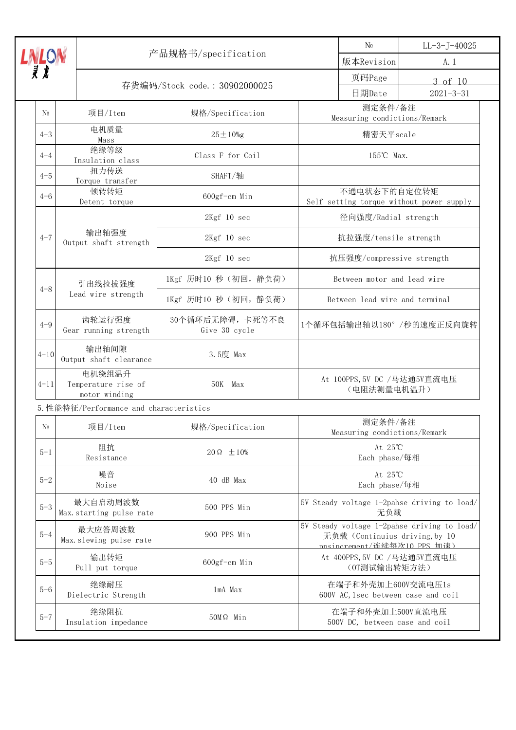|                           |                                                | 产品规格书/specification              |                                                                                                              | N <sub>0</sub>                          | $LL-3-J-40025$                           |
|---------------------------|------------------------------------------------|----------------------------------|--------------------------------------------------------------------------------------------------------------|-----------------------------------------|------------------------------------------|
| <b>LNLON</b><br><i>R</i>  |                                                |                                  |                                                                                                              | 版本Revision                              | A. 1                                     |
|                           |                                                | 存货编码/Stock code.: 30902000025    |                                                                                                              | 页码Page                                  | 3 of 10                                  |
|                           |                                                |                                  |                                                                                                              | 日期Date                                  | $2021 - 3 - 31$                          |
| $\mathbb{N}^0$            | 项目/Item                                        | 规格/Specification                 |                                                                                                              | 测定条件/备注<br>Measuring condictions/Remark |                                          |
| $4 - 3$                   | 电机质量<br>Mass                                   | $25 \pm 10\%$ g                  |                                                                                                              | 精密天平scale                               |                                          |
| $4 - 4$                   | 绝缘等级<br>Insulation class                       | Class F for Coil                 |                                                                                                              | 155℃ Max.                               |                                          |
| $4 - 5$                   | 扭力传送<br>Torque transfer                        | SHAFT/轴                          |                                                                                                              |                                         |                                          |
| $4 - 6$                   | 顿转转矩<br>Detent torque                          | 600gf-cm Min                     |                                                                                                              | 不通电状态下的自定位转矩                            | Self setting torque without power supply |
|                           |                                                | 2Kgf 10 sec                      |                                                                                                              | 径向强度/Radial strength                    |                                          |
| $4 - 7$                   | 输出轴强度<br>Output shaft strength                 | 2Kgf 10 sec                      |                                                                                                              | 抗拉强度/tensile strength                   |                                          |
|                           |                                                | 2Kgf 10 sec                      |                                                                                                              | 抗压强度/compressive strength               |                                          |
| $4 - 8$                   | 引出线拉拔强度                                        | 1Kgf 历时10 秒 (初回,静负荷)             |                                                                                                              | Between motor and lead wire             |                                          |
|                           | Lead wire strength                             | 1Kgf 历时10 秒 (初回, 静负荷)            |                                                                                                              | Between lead wire and terminal          |                                          |
| $4 - 9$                   | 齿轮运行强度<br>Gear running strength                | 30个循环后无障碍,卡死等不良<br>Give 30 cycle | 1个循环包括输出轴以180°/秒的速度正反向旋转                                                                                     |                                         |                                          |
| $4 - 10$                  | 输出轴间隙<br>Output shaft clearance                | 3.5度 Max                         |                                                                                                              |                                         |                                          |
| $4 - 11$                  | 电机绕组温升<br>Temperature rise of<br>motor winding | 50K Max                          | At 100PPS, 5V DC /马达通5V直流电压<br>(电阻法测量电机温升)                                                                   |                                         |                                          |
|                           | 5. 性能特征/Performance and characteristics        |                                  |                                                                                                              |                                         |                                          |
| $N\underline{\textbf{0}}$ | 项目/Item                                        | 规格/Specification                 |                                                                                                              | 测定条件/备注<br>Measuring condictions/Remark |                                          |
| $5 - 1$                   | 阻抗<br>Resistance                               | $20 \Omega \pm 10\%$             |                                                                                                              | At 25℃<br>Each phase/每相                 |                                          |
| $5 - 2$                   | 噪音<br>Noise                                    | 40 dB Max                        |                                                                                                              | At 25℃<br>Each phase/每相                 |                                          |
| $5 - 3$                   | 最大自启动周波数<br>Max. starting pulse rate           | 500 PPS Min                      | 5V Steady voltage 1-2pahse driving to load/<br>无负载                                                           |                                         |                                          |
| $5 - 4$                   | 最大应答周波数<br>Max. slewing pulse rate             | 900 PPS Min                      | 5V Steady voltage 1-2pahse driving to load/<br>无负载 (Continuius driving, by 10<br>nnsincrement/连续每次10 PPS 加速) |                                         |                                          |
| $5 - 5$                   | 输出转矩<br>Pull put torque                        | $600gf-cm$ Min                   | At 400PPS, 5V DC /马达通5V直流电压<br>(OT测试输出转矩方法)                                                                  |                                         |                                          |
| $5 - 6$                   | 绝缘耐压<br>Dielectric Strength                    | 1mA Max                          | 在端子和外壳加上600V交流电压1s<br>600V AC, 1sec between case and coil                                                    |                                         |                                          |
| $5 - 7$                   | 绝缘阻抗<br>Insulation impedance                   | $50M\Omega$ Min                  | 在端子和外壳加上500V直流电压<br>500V DC, between case and coil                                                           |                                         |                                          |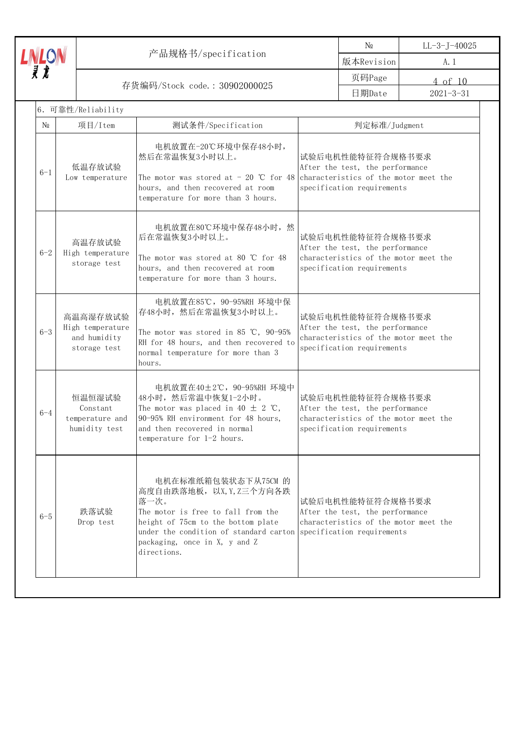|                                                                 |                                                              | 产品规格书/specification                                                                                                                                                                                                           |                                                                                                                                                                                                                                                          | $N_2$                                                                                                                      | $LL-3-J-40025$  |
|-----------------------------------------------------------------|--------------------------------------------------------------|-------------------------------------------------------------------------------------------------------------------------------------------------------------------------------------------------------------------------------|----------------------------------------------------------------------------------------------------------------------------------------------------------------------------------------------------------------------------------------------------------|----------------------------------------------------------------------------------------------------------------------------|-----------------|
|                                                                 |                                                              |                                                                                                                                                                                                                               |                                                                                                                                                                                                                                                          | 版本Revision                                                                                                                 | A. 1            |
| $L$ n/ $L$ on/ $\bar{\bar{z}}$<br>存货编码/Stock code.: 30902000025 |                                                              |                                                                                                                                                                                                                               | 页码Page                                                                                                                                                                                                                                                   | 4 of 10                                                                                                                    |                 |
|                                                                 |                                                              |                                                                                                                                                                                                                               |                                                                                                                                                                                                                                                          | 日期Date                                                                                                                     | $2021 - 3 - 31$ |
|                                                                 | 6. 可靠性/Reliability                                           |                                                                                                                                                                                                                               |                                                                                                                                                                                                                                                          |                                                                                                                            |                 |
| $\mathbb{N}^0$                                                  | 项目/Item                                                      | 测试条件/Specification                                                                                                                                                                                                            |                                                                                                                                                                                                                                                          | 判定标准/Judgment                                                                                                              |                 |
| $6 - 1$                                                         | 低温存放试验<br>Low temperature                                    | 电机放置在-20℃环境中保存48小时,<br>然后在常温恢复3小时以上。<br>The motor was stored at $-20$ °C for 48<br>hours, and then recovered at room<br>temperature for more than 3 hours.                                                                    | 试验后电机性能特征符合规格书要求<br>After the test, the performance<br>characteristics of the motor meet the<br>specification requirements<br>试验后电机性能特征符合规格书要求<br>After the test, the performance<br>characteristics of the motor meet the<br>specification requirements |                                                                                                                            |                 |
| $6 - 2$                                                         | 高温存放试验<br>High temperature<br>storage test                   | 电机放置在80℃环境中保存48小时, 然<br>后在常温恢复3小时以上。<br>The motor was stored at 80 $\degree$ C for 48<br>hours, and then recovered at room<br>temperature for more than 3 hours.                                                              |                                                                                                                                                                                                                                                          |                                                                                                                            |                 |
| $6 - 3$                                                         | 高温高湿存放试验<br>High temperature<br>and humidity<br>storage test | 电机放置在85℃, 90-95%RH 环境中保<br>存48小时, 然后在常温恢复3小时以上。<br>The motor was stored in 85 °C, 90-95%<br>RH for 48 hours, and then recovered to<br>normal temperature for more than 3<br>hours.                                            | 试验后电机性能特征符合规格书要求<br>After the test, the performance<br>characteristics of the motor meet the<br>specification requirements                                                                                                                               |                                                                                                                            |                 |
| $6 - 4$                                                         | 恒温恒湿试验<br>Constant<br>temperature and<br>humidity test       | 电机放置在40±2℃, 90-95%RH 环境中<br>48小时, 然后常温中恢复1-2小时。<br>The motor was placed in 40 $\pm$ 2 °C,<br>90-95% RH environment for 48 hours,<br>and then recovered in normal<br>temperature for 1-2 hours.                                |                                                                                                                                                                                                                                                          | 试验后电机性能特征符合规格书要求<br>After the test, the performance<br>characteristics of the motor meet the<br>specification requirements |                 |
| $6 - 5$                                                         | 跌落试验<br>Drop test                                            | 电机在标准纸箱包装状态下从75CM 的<br>高度自由跌落地板, 以X, Y, Z三个方向各跌<br>落一次。<br>The motor is free to fall from the<br>height of 75cm to the bottom plate<br>under the condition of standard carton<br>packaging, once in X, y and Z<br>directions. | 试验后电机性能特征符合规格书要求<br>After the test, the performance<br>characteristics of the motor meet the<br>specification requirements                                                                                                                               |                                                                                                                            |                 |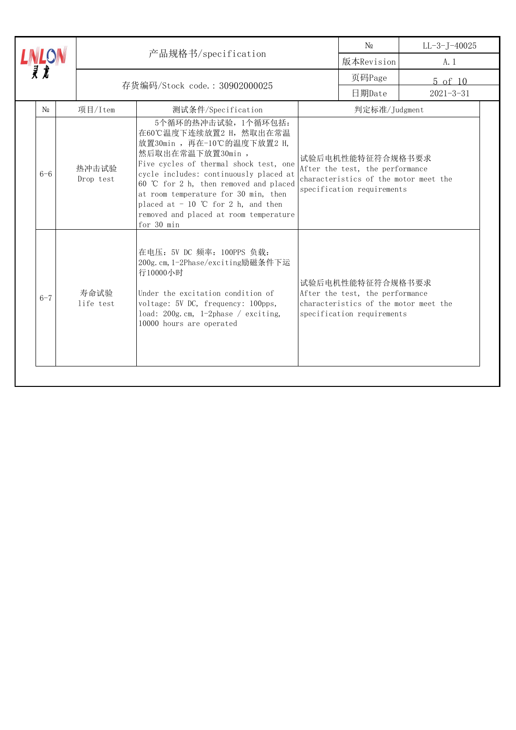|  |             |                    | 产品规格书/specification                                                                                                                                                                                                                                                                                                                                                  |                                                                                                                            | $\rm No$                                                                                                                   | $LL-3-J-40025$  |
|--|-------------|--------------------|----------------------------------------------------------------------------------------------------------------------------------------------------------------------------------------------------------------------------------------------------------------------------------------------------------------------------------------------------------------------|----------------------------------------------------------------------------------------------------------------------------|----------------------------------------------------------------------------------------------------------------------------|-----------------|
|  |             |                    |                                                                                                                                                                                                                                                                                                                                                                      |                                                                                                                            | 版本Revision                                                                                                                 | A. 1            |
|  | 灵龙          |                    | 存货编码/Stock code.: 30902000025                                                                                                                                                                                                                                                                                                                                        |                                                                                                                            | 页码Page                                                                                                                     | $5$ of $10$     |
|  |             |                    |                                                                                                                                                                                                                                                                                                                                                                      |                                                                                                                            | 日期Date                                                                                                                     | $2021 - 3 - 31$ |
|  | $\rm N_{2}$ | 项目/Item            | 测试条件/Specification                                                                                                                                                                                                                                                                                                                                                   |                                                                                                                            | 判定标准/Judgment                                                                                                              |                 |
|  | $6 - 6$     | 热冲击试验<br>Drop test | 5个循环的热冲击试验, 1个循环包括:<br>在60℃温度下连续放置2 H, 然取出在常温<br>放置30min, 再在-10℃的温度下放置2 H,<br>然后取出在常温下放置30min,<br>Five cycles of thermal shock test, one<br>cycle includes: continuously placed at<br>60 °C for 2 h, then removed and placed<br>at room temperature for 30 min, then<br>placed at $-10$ °C for 2 h, and then<br>removed and placed at room temperature<br>for 30 min | 试验后电机性能特征符合规格书要求<br>After the test, the performance<br>characteristics of the motor meet the<br>specification requirements |                                                                                                                            |                 |
|  | $6 - 7$     | 寿命试验<br>life test  | 在电压: 5V DC 频率: 100PPS 负载:<br>200g. cm, 1-2Phase/exciting励磁条件下运<br>行10000小时<br>Under the excitation condition of<br>voltage: 5V DC, frequency: 100pps,<br>load: 200g.cm, 1-2phase / exciting,<br>10000 hours are operated                                                                                                                                             |                                                                                                                            | 试验后电机性能特征符合规格书要求<br>After the test, the performance<br>characteristics of the motor meet the<br>specification requirements |                 |
|  |             |                    |                                                                                                                                                                                                                                                                                                                                                                      |                                                                                                                            |                                                                                                                            |                 |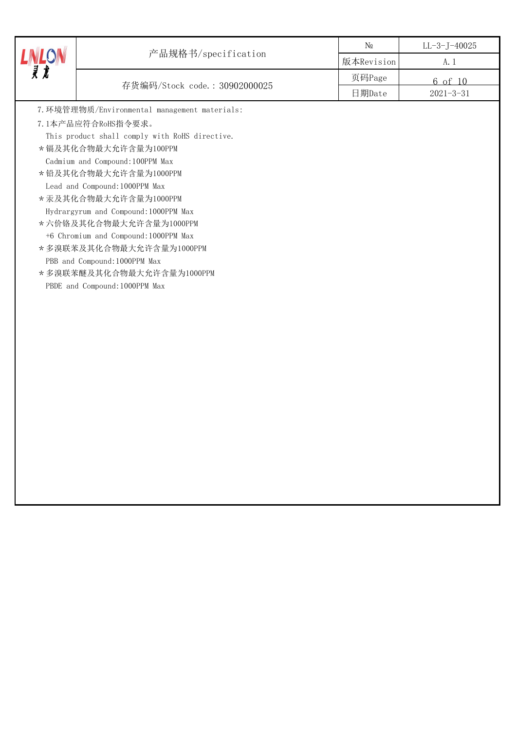| <b>LINLON</b> |                                                | N <sub>0</sub> | $LL-3-J-40025$  |
|---------------|------------------------------------------------|----------------|-----------------|
|               | 产品规格书/specification                            | 版本Revision     | A. 1            |
|               | 存货编码/Stock code.: 30902000025                  | 页码Page         | 6 of 10         |
|               |                                                | 日期Date         | $2021 - 3 - 31$ |
|               | 7. 环境管理物质/Environmental management materials:  |                |                 |
|               | 7.1本产品应符合RoHS指令要求。                             |                |                 |
|               | This product shall comply with RoHS directive. |                |                 |
|               | *镉及其化合物最大允许含量为100PPM                           |                |                 |
|               | Cadmium and Compound: 100PPM Max               |                |                 |
|               | *铅及其化合物最大允许含量为1000PPM                          |                |                 |
|               | Lead and Compound: 1000PPM Max                 |                |                 |
|               | * 汞及其化合物最大允许含量为1000PPM                         |                |                 |
|               | Hydrargyrum and Compound: 1000PPM Max          |                |                 |
|               | * 六价铬及其化合物最大允许含量为1000PPM                       |                |                 |
|               | +6 Chromium and Compound: 1000PPM Max          |                |                 |
|               | *多溴联苯及其化合物最大允许含量为1000PPM                       |                |                 |
|               | PBB and Compound: 1000PPM Max                  |                |                 |
|               | *多溴联苯醚及其化合物最大允许含量为1000PPM                      |                |                 |
|               | PBDE and Compound: 1000PPM Max                 |                |                 |
|               |                                                |                |                 |
|               |                                                |                |                 |
|               |                                                |                |                 |
|               |                                                |                |                 |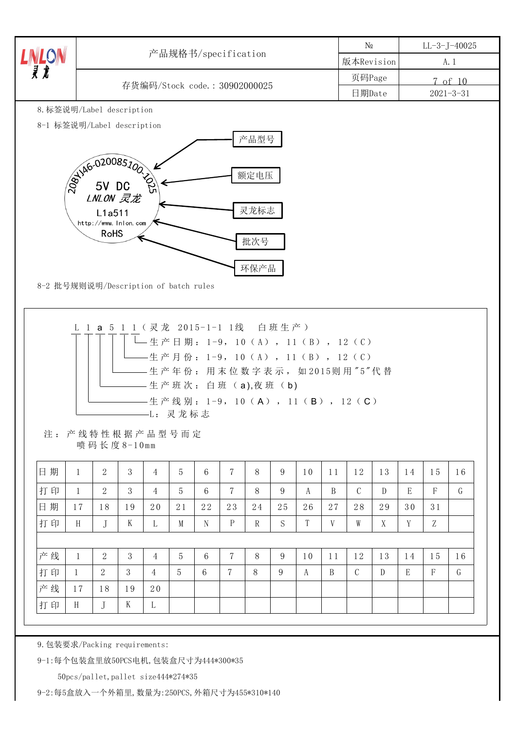|                                                             |              |                                                                                     |    |                                    |    |    |                |                                                                                                                                                      | $N_{2}$    |    |                 | $LL-3-J-40025$ |         |    |              |    |
|-------------------------------------------------------------|--------------|-------------------------------------------------------------------------------------|----|------------------------------------|----|----|----------------|------------------------------------------------------------------------------------------------------------------------------------------------------|------------|----|-----------------|----------------|---------|----|--------------|----|
| $\frac{L}{\bar{\mathcal{X}}}$ $\frac{L}{\bar{\mathcal{X}}}$ |              | 产品规格书/specification                                                                 |    |                                    |    |    |                |                                                                                                                                                      | 版本Revision |    |                 | A. 1           |         |    |              |    |
|                                                             |              |                                                                                     |    |                                    |    |    |                |                                                                                                                                                      | 页码Page     |    |                 |                | 7 of 10 |    |              |    |
|                                                             |              | 存货编码/Stock code.: 30902000025                                                       |    |                                    |    |    | 日期Date         |                                                                                                                                                      |            |    | $2021 - 3 - 31$ |                |         |    |              |    |
| 8. 标签说明/Label description                                   |              |                                                                                     |    |                                    |    |    |                |                                                                                                                                                      |            |    |                 |                |         |    |              |    |
| 8-1 标签说明/Label description                                  |              |                                                                                     |    |                                    |    |    |                | 产品型号                                                                                                                                                 |            |    |                 |                |         |    |              |    |
|                                                             |              | <b>BRUAG-020085700</b><br>LNLON 灵龙<br>L1a511<br>http://www.inion.com<br><b>RoHS</b> |    |                                    |    |    |                | 额定电压<br>灵龙标志<br>批次号                                                                                                                                  |            |    |                 |                |         |    |              |    |
| 8-2 批号规则说明/Description of batch rules                       |              |                                                                                     |    |                                    |    |    |                | 环保产品                                                                                                                                                 |            |    |                 |                |         |    |              |    |
|                                                             |              | L 1 a 5 1 1 (灵龙 2015-1-1 1线 白班生产)                                                   |    | -生产日期: 1-9, 10 (A), 11 (B), 12 (C) |    |    |                | -生产月份: 1-9,10(A),11(B),12(C)<br>- 生 产 年 份 : 用 末 位 数 字 表 示 , 如 2015则 用 " 5 " 代 替<br>- 生 产 班 次 : 白 班 (a),夜 班 (b)<br>-生产线别: 1-9, 10 (A), 11 (B), 12 (C) |            |    |                 |                |         |    |              |    |
|                                                             |              | 注:产线特性根据产品型号而定<br>喷码长度8-10mm                                                        |    | -L: 灵龙标志                           |    |    |                |                                                                                                                                                      |            |    |                 |                |         |    |              |    |
| 日期                                                          | 1            | 2                                                                                   | 3  | 4                                  | 5  | 6  | $\overline{7}$ | 8                                                                                                                                                    | 9          | 10 | 11              | 12             | 13      | 14 | 15           | 16 |
| 打印                                                          | $\mathbf{1}$ | $\overline{2}$                                                                      | 3  | $\overline{4}$                     | 5  | 6  | $\overline{7}$ | 8                                                                                                                                                    | 9          | A  | B               | $\mathcal{C}$  | D       | E  | $\mathbf{F}$ | G  |
| 日期                                                          | 17           | 18                                                                                  | 19 | 20                                 | 21 | 22 | 23             | 24                                                                                                                                                   | 25         | 26 | 27              | 28             | 29      | 30 | 31           |    |
| 打印                                                          | H            | J                                                                                   | K  | L                                  | M  | N  | $\mathbf P$    | $\mathbb{R}$                                                                                                                                         | S          | T  | V               | W              | X       | Y  | Z            |    |
|                                                             |              |                                                                                     |    |                                    |    |    |                |                                                                                                                                                      |            |    |                 |                |         |    |              |    |
| 产线                                                          | 1            | $\overline{2}$                                                                      | 3  | $\overline{4}$                     | 5  | 6  | 7              | 8                                                                                                                                                    | 9          | 10 | 11              | 12             | 13      | 14 | 15           | 16 |
| 打印                                                          | 1            | 2                                                                                   | 3  | 4                                  | 5  | 6  | 7              | 8                                                                                                                                                    | 9          | A  | B               | $\mathcal{C}$  | D       | E  | $_{\rm F}$   | G  |
| 产线                                                          | 17           | 18                                                                                  | 19 | 20                                 |    |    |                |                                                                                                                                                      |            |    |                 |                |         |    |              |    |

9.包装要求/Packing requirements:

9-1:每个包装盒里放50PCS电机,包装盒尺寸为444\*300\*35

50pcs/pallet,pallet size444\*274\*35

9-2:每5盒放入一个外箱里,数量为:250PCS,外箱尺寸为455\*310\*140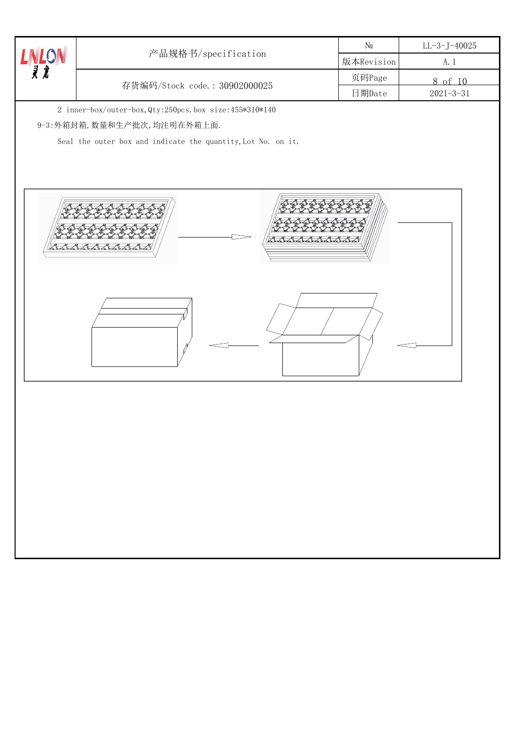|                               |                                                              | $N\!{\underline{\text{o}}}$ | $LL-3-J-40025$  |
|-------------------------------|--------------------------------------------------------------|-----------------------------|-----------------|
| $\frac{L}{\bar{\mathcal{X}}}$ | 产品规格书/specification                                          | 版本Revision                  | A. 1            |
|                               |                                                              | 页码Page                      | 8 of 10         |
|                               | 存货编码/Stock code.: 30902000025                                | 日期Date                      | $2021 - 3 - 31$ |
|                               | 2 inner-box/outer-box, Qty:250pcs.box size:455*310*140       |                             |                 |
|                               | 9-3:外箱封箱, 数量和生产批次, 均注明在外箱上面.                                 |                             |                 |
|                               | Seal the outer box and indicate the quantity, Lot No. on it. |                             |                 |
|                               |                                                              |                             |                 |
|                               |                                                              |                             |                 |
|                               |                                                              |                             |                 |
|                               |                                                              |                             |                 |
|                               |                                                              |                             |                 |
|                               | Ribertodo                                                    |                             |                 |
| di mata m                     |                                                              |                             |                 |
|                               |                                                              |                             |                 |
|                               |                                                              |                             |                 |
|                               |                                                              |                             |                 |
|                               |                                                              |                             |                 |
|                               |                                                              |                             |                 |
|                               |                                                              |                             |                 |
|                               |                                                              |                             |                 |
|                               |                                                              |                             |                 |
|                               |                                                              |                             |                 |
|                               |                                                              |                             |                 |
|                               |                                                              |                             |                 |
|                               |                                                              |                             |                 |
|                               |                                                              |                             |                 |
|                               |                                                              |                             |                 |
|                               |                                                              |                             |                 |
|                               |                                                              |                             |                 |
|                               |                                                              |                             |                 |
|                               |                                                              |                             |                 |
|                               |                                                              |                             |                 |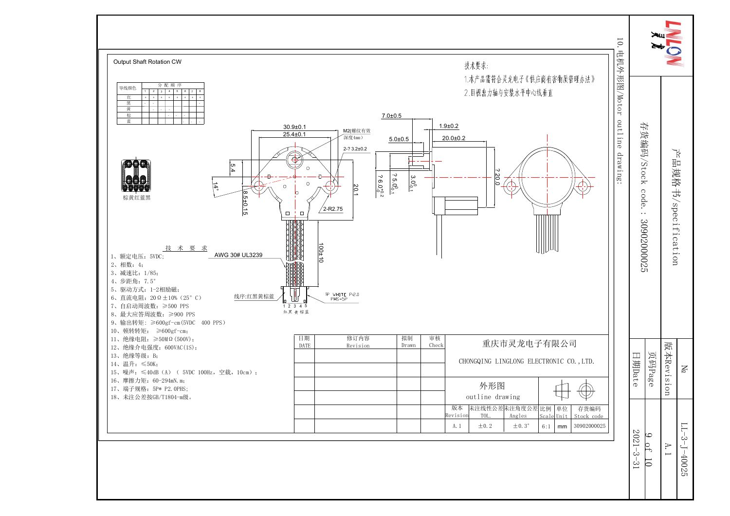